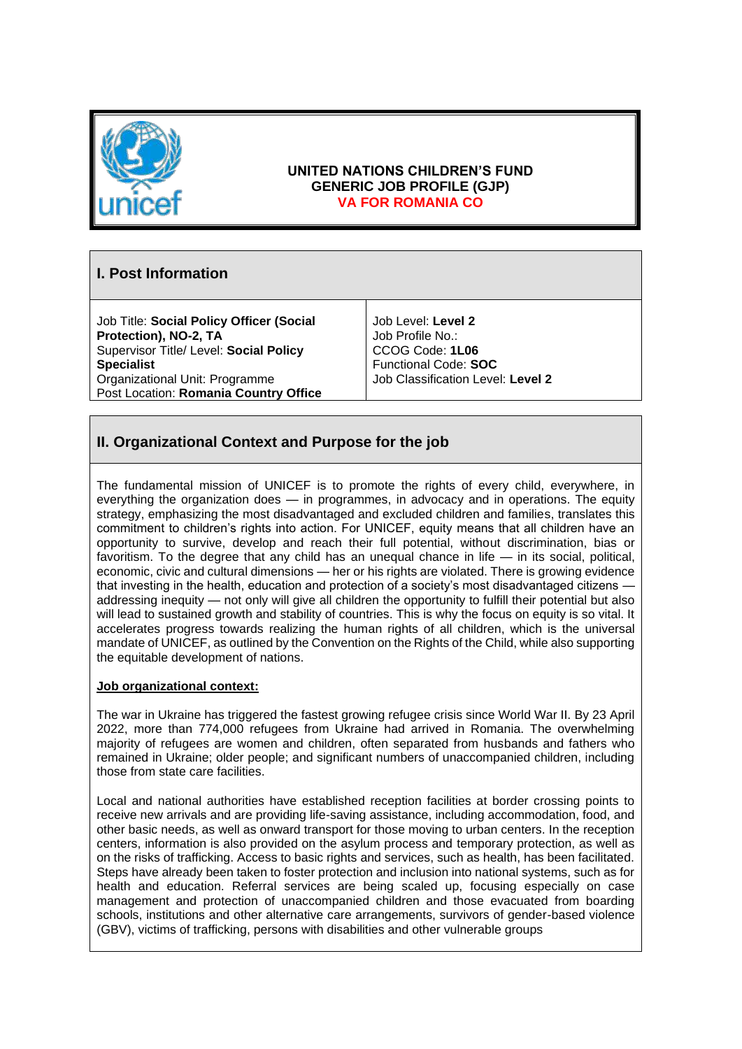

### **UNITED NATIONS CHILDREN'S FUND GENERIC JOB PROFILE (GJP) VA FOR ROMANIA CO**

# **I. Post Information**

Job Title: **Social Policy Officer (Social Protection), NO-2, TA** Supervisor Title/ Level: **Social Policy Specialist** Organizational Unit: Programme Post Location: **Romania Country Office**

Job Level: **Level 2** Job Profile No.: CCOG Code: **1L06** Functional Code: **SOC** Job Classification Level: **Level 2**

# **II. Organizational Context and Purpose for the job**

The fundamental mission of UNICEF is to promote the rights of every child, everywhere, in everything the organization does — in programmes, in advocacy and in operations. The equity strategy, emphasizing the most disadvantaged and excluded children and families, translates this commitment to children's rights into action. For UNICEF, equity means that all children have an opportunity to survive, develop and reach their full potential, without discrimination, bias or favoritism. To the degree that any child has an unequal chance in life — in its social, political, economic, civic and cultural dimensions — her or his rights are violated. There is growing evidence that investing in the health, education and protection of a society's most disadvantaged citizens addressing inequity — not only will give all children the opportunity to fulfill their potential but also will lead to sustained growth and stability of countries. This is why the focus on equity is so vital. It accelerates progress towards realizing the human rights of all children, which is the universal mandate of UNICEF, as outlined by the Convention on the Rights of the Child, while also supporting the equitable development of nations.

#### **Job organizational context:**

The war in Ukraine has triggered the fastest growing refugee crisis since World War II. By 23 April 2022, more than 774,000 refugees from Ukraine had arrived in Romania. The overwhelming majority of refugees are women and children, often separated from husbands and fathers who remained in Ukraine; older people; and significant numbers of unaccompanied children, including those from state care facilities.

Local and national authorities have established reception facilities at border crossing points to receive new arrivals and are providing life-saving assistance, including accommodation, food, and other basic needs, as well as onward transport for those moving to urban centers. In the reception centers, information is also provided on the asylum process and temporary protection, as well as on the risks of trafficking. Access to basic rights and services, such as health, has been facilitated. Steps have already been taken to foster protection and inclusion into national systems, such as for health and education. Referral services are being scaled up, focusing especially on case management and protection of unaccompanied children and those evacuated from boarding schools, institutions and other alternative care arrangements, survivors of gender-based violence (GBV), victims of trafficking, persons with disabilities and other vulnerable groups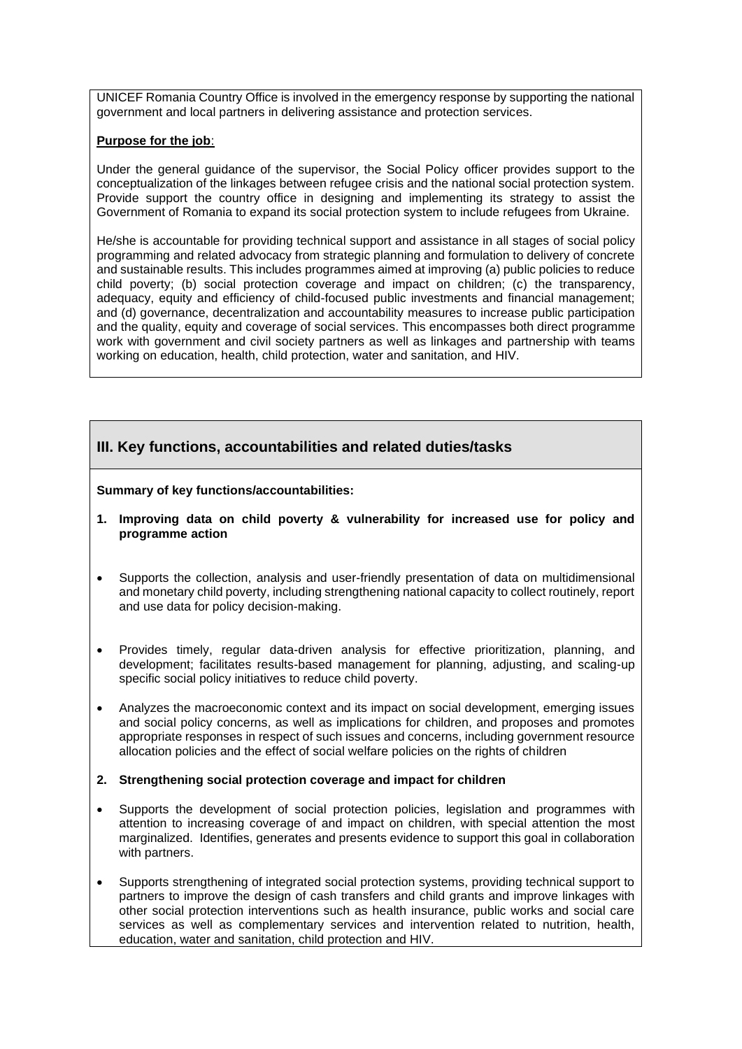UNICEF Romania Country Office is involved in the emergency response by supporting the national government and local partners in delivering assistance and protection services.

#### **Purpose for the job**:

Under the general guidance of the supervisor, the Social Policy officer provides support to the conceptualization of the linkages between refugee crisis and the national social protection system. Provide support the country office in designing and implementing its strategy to assist the Government of Romania to expand its social protection system to include refugees from Ukraine.

He/she is accountable for providing technical support and assistance in all stages of social policy programming and related advocacy from strategic planning and formulation to delivery of concrete and sustainable results. This includes programmes aimed at improving (a) public policies to reduce child poverty; (b) social protection coverage and impact on children; (c) the transparency, adequacy, equity and efficiency of child-focused public investments and financial management; and (d) governance, decentralization and accountability measures to increase public participation and the quality, equity and coverage of social services. This encompasses both direct programme work with government and civil society partners as well as linkages and partnership with teams working on education, health, child protection, water and sanitation, and HIV.

### **III. Key functions, accountabilities and related duties/tasks**

#### **Summary of key functions/accountabilities:**

- **1. Improving data on child poverty & vulnerability for increased use for policy and programme action**
- Supports the collection, analysis and user-friendly presentation of data on multidimensional and monetary child poverty, including strengthening national capacity to collect routinely, report and use data for policy decision-making.
- Provides timely, regular data-driven analysis for effective prioritization, planning, and development; facilitates results-based management for planning, adjusting, and scaling-up specific social policy initiatives to reduce child poverty.
- Analyzes the macroeconomic context and its impact on social development, emerging issues and social policy concerns, as well as implications for children, and proposes and promotes appropriate responses in respect of such issues and concerns, including government resource allocation policies and the effect of social welfare policies on the rights of children

#### **2. Strengthening social protection coverage and impact for children**

- Supports the development of social protection policies, legislation and programmes with attention to increasing coverage of and impact on children, with special attention the most marginalized. Identifies, generates and presents evidence to support this goal in collaboration with partners.
- Supports strengthening of integrated social protection systems, providing technical support to partners to improve the design of cash transfers and child grants and improve linkages with other social protection interventions such as health insurance, public works and social care services as well as complementary services and intervention related to nutrition, health, education, water and sanitation, child protection and HIV.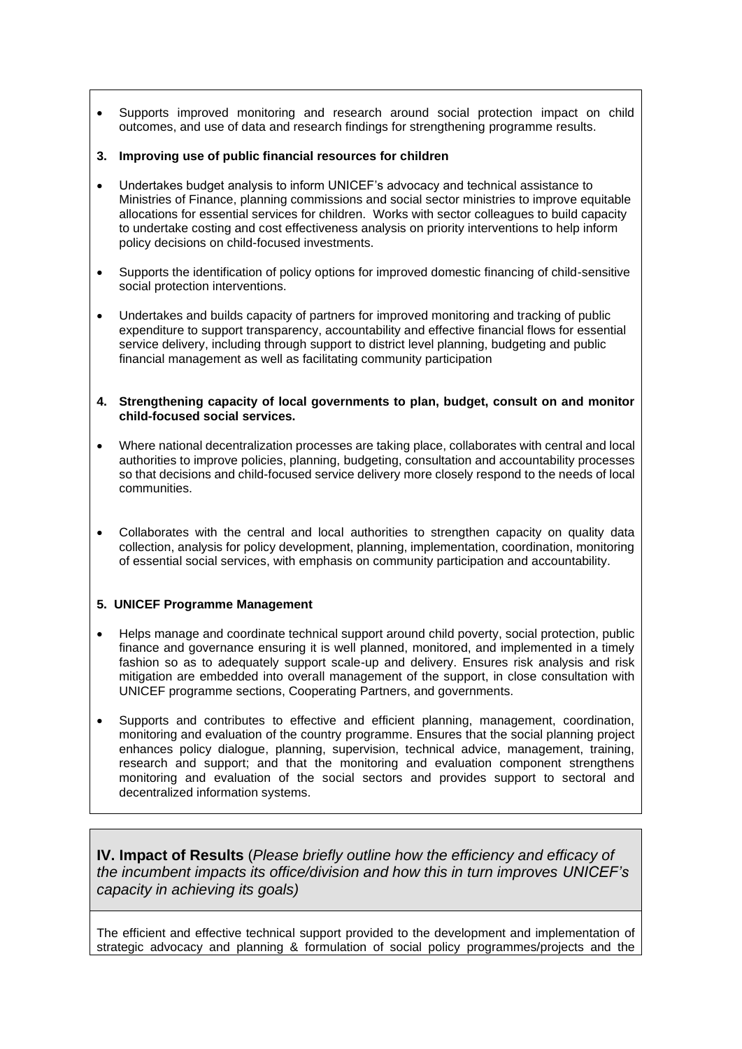- Supports improved monitoring and research around social protection impact on child outcomes, and use of data and research findings for strengthening programme results.
- **3. Improving use of public financial resources for children**
- Undertakes budget analysis to inform UNICEF's advocacy and technical assistance to Ministries of Finance, planning commissions and social sector ministries to improve equitable allocations for essential services for children. Works with sector colleagues to build capacity to undertake costing and cost effectiveness analysis on priority interventions to help inform policy decisions on child-focused investments.
- Supports the identification of policy options for improved domestic financing of child-sensitive social protection interventions.
- Undertakes and builds capacity of partners for improved monitoring and tracking of public expenditure to support transparency, accountability and effective financial flows for essential service delivery, including through support to district level planning, budgeting and public financial management as well as facilitating community participation
- **4. Strengthening capacity of local governments to plan, budget, consult on and monitor child-focused social services.**
- Where national decentralization processes are taking place, collaborates with central and local authorities to improve policies, planning, budgeting, consultation and accountability processes so that decisions and child-focused service delivery more closely respond to the needs of local communities.
- Collaborates with the central and local authorities to strengthen capacity on quality data collection, analysis for policy development, planning, implementation, coordination, monitoring of essential social services, with emphasis on community participation and accountability.

#### **5. UNICEF Programme Management**

- Helps manage and coordinate technical support around child poverty, social protection, public finance and governance ensuring it is well planned, monitored, and implemented in a timely fashion so as to adequately support scale-up and delivery. Ensures risk analysis and risk mitigation are embedded into overall management of the support, in close consultation with UNICEF programme sections, Cooperating Partners, and governments.
- Supports and contributes to effective and efficient planning, management, coordination, monitoring and evaluation of the country programme. Ensures that the social planning project enhances policy dialogue, planning, supervision, technical advice, management, training, research and support; and that the monitoring and evaluation component strengthens monitoring and evaluation of the social sectors and provides support to sectoral and decentralized information systems.

**IV. Impact of Results** (*Please briefly outline how the efficiency and efficacy of the incumbent impacts its office/division and how this in turn improves UNICEF's capacity in achieving its goals)*

The efficient and effective technical support provided to the development and implementation of strategic advocacy and planning & formulation of social policy programmes/projects and the